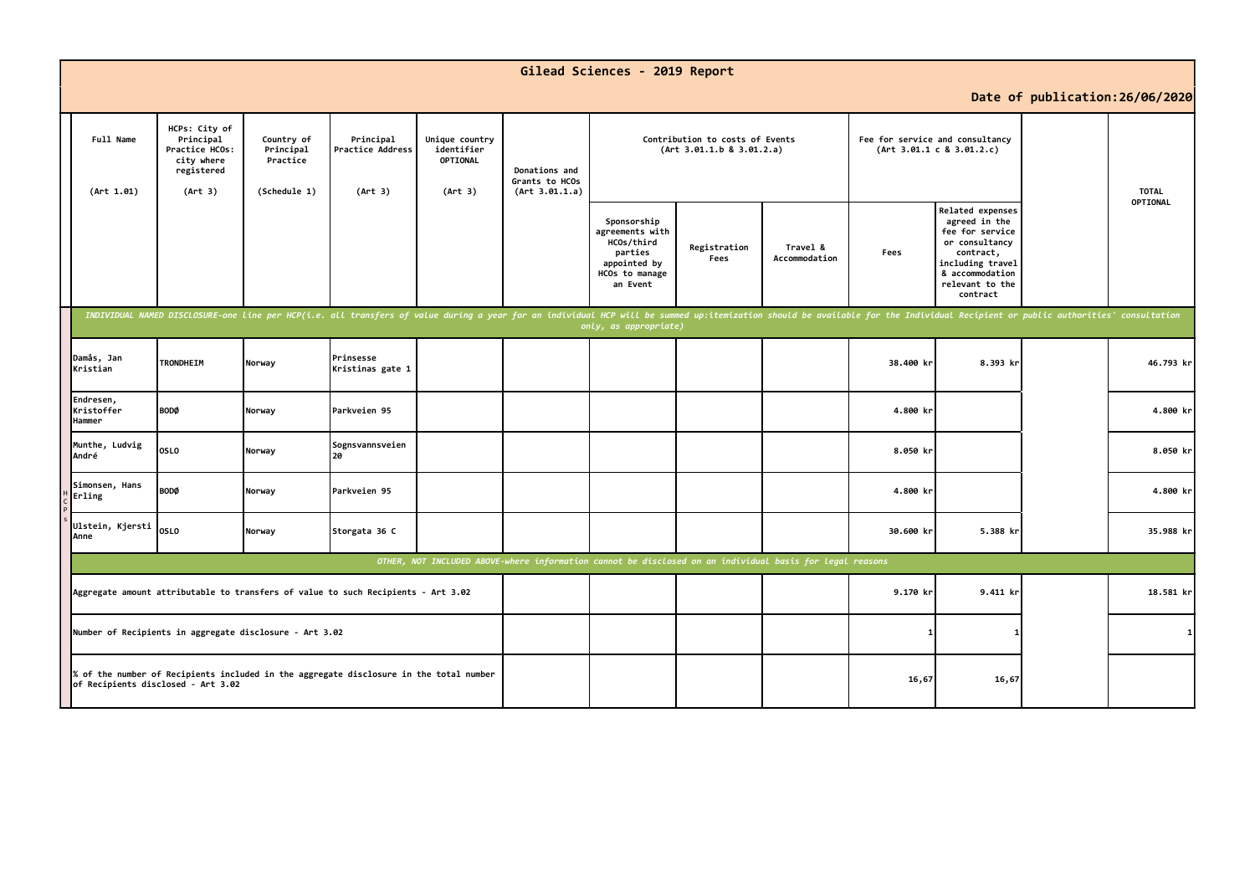|                                                                                                                              |                                                                                     |                                                     |                                                                                                                                                                                                                                |                                                     |                                                   | Gilead Sciences - 2019 Report                                                                         |                                                                                                                              |                           |           |                                                                                                                                                           |                                 |           |
|------------------------------------------------------------------------------------------------------------------------------|-------------------------------------------------------------------------------------|-----------------------------------------------------|--------------------------------------------------------------------------------------------------------------------------------------------------------------------------------------------------------------------------------|-----------------------------------------------------|---------------------------------------------------|-------------------------------------------------------------------------------------------------------|------------------------------------------------------------------------------------------------------------------------------|---------------------------|-----------|-----------------------------------------------------------------------------------------------------------------------------------------------------------|---------------------------------|-----------|
|                                                                                                                              |                                                                                     |                                                     |                                                                                                                                                                                                                                |                                                     |                                                   |                                                                                                       |                                                                                                                              |                           |           |                                                                                                                                                           | Date of publication: 26/06/2020 |           |
| Full Name<br>(Art 1.01)                                                                                                      | HCPs: City of<br>Principal<br>Practice HCOs:<br>city where<br>registered<br>(Art 3) | Country of<br>Principal<br>Practice<br>(Schedule 1) | Principal<br>Practice Address<br>(Art 3)                                                                                                                                                                                       | Unique country<br>identifier<br>OPTIONAL<br>(Art 3) | Donations and<br>Grants to HCOs<br>(Art 3.01.1.a) |                                                                                                       | Contribution to costs of Events<br>Fee for service and consultancy<br>(Art 3.01.1.b 8 3.01.2.a)<br>(Art 3.01.1 c 8 3.01.2.c) |                           |           |                                                                                                                                                           | <b>TOTAL</b>                    |           |
|                                                                                                                              |                                                                                     |                                                     |                                                                                                                                                                                                                                |                                                     |                                                   | Sponsorship<br>agreements with<br>HCOs/third<br>parties<br>appointed by<br>HCOs to manage<br>an Event | Registration<br>Fees                                                                                                         | Travel &<br>Accommodation | Fees      | Related expenses<br>agreed in the<br>fee for service<br>or consultancy<br>contract,<br>including travel<br>& accommodation<br>relevant to the<br>contract |                                 | OPTIONAL  |
|                                                                                                                              |                                                                                     |                                                     | INDIVIDUAL NAMED DISCLOSURE-one line per HCP(i.e. all transfers of value during a year for an individual HCP will be summed up:itemization should be available for the Individual Recipient or public authorities' consultatio |                                                     |                                                   | only, as appropriate)                                                                                 |                                                                                                                              |                           |           |                                                                                                                                                           |                                 |           |
| Damås, Jan<br>Kristian                                                                                                       | TRONDHEIM                                                                           | Norway                                              | Prinsesse<br>Kristinas gate 1                                                                                                                                                                                                  |                                                     |                                                   |                                                                                                       |                                                                                                                              |                           | 38.400 kr | 8.393 kr                                                                                                                                                  |                                 | 46.793 kr |
| Endresen,<br>Kristoffer<br>Hammer                                                                                            | <b>BODØ</b>                                                                         | Norway                                              | Parkveien 95                                                                                                                                                                                                                   |                                                     |                                                   |                                                                                                       |                                                                                                                              |                           | 4.800 kr  |                                                                                                                                                           |                                 | 4.800 kr  |
| Munthe, Ludvig<br>André                                                                                                      | <b>OSLO</b>                                                                         | Norway                                              | Sognsvannsveien<br>l 20                                                                                                                                                                                                        |                                                     |                                                   |                                                                                                       |                                                                                                                              |                           | 8.050 kr  |                                                                                                                                                           |                                 | 8.050 kr  |
| Simonsen, Hans<br>Erling                                                                                                     | <b>BODØ</b>                                                                         | Norway                                              | Parkveien 95                                                                                                                                                                                                                   |                                                     |                                                   |                                                                                                       |                                                                                                                              |                           | 4.800 kr  |                                                                                                                                                           |                                 | 4.800 kr  |
| Ulstein, Kjersti<br>Anne                                                                                                     | <b>OSLO</b>                                                                         | Norway                                              | Storgata 36 C                                                                                                                                                                                                                  |                                                     |                                                   |                                                                                                       |                                                                                                                              |                           | 30.600 kr | 5.388 kr                                                                                                                                                  |                                 | 35.988 kr |
| OTHER, NOT INCLUDED ABOVE-where information cannot be disclosed on an individual basis for legal reasons                     |                                                                                     |                                                     |                                                                                                                                                                                                                                |                                                     |                                                   |                                                                                                       |                                                                                                                              |                           |           |                                                                                                                                                           |                                 |           |
| Aggregate amount attributable to transfers of value to such Recipients - Art 3.02                                            |                                                                                     |                                                     |                                                                                                                                                                                                                                |                                                     |                                                   |                                                                                                       |                                                                                                                              | 9.170 kr                  | 9.411 kr  |                                                                                                                                                           | 18.581 kr                       |           |
| Number of Recipients in aggregate disclosure - Art 3.02                                                                      |                                                                                     |                                                     |                                                                                                                                                                                                                                |                                                     |                                                   |                                                                                                       |                                                                                                                              |                           |           |                                                                                                                                                           | 11                              |           |
| % of the number of Recipients included in the aggregate disclosure in the total number<br>of Recipients disclosed - Art 3.02 |                                                                                     |                                                     |                                                                                                                                                                                                                                |                                                     |                                                   |                                                                                                       |                                                                                                                              | 16,67                     | 16,67     |                                                                                                                                                           |                                 |           |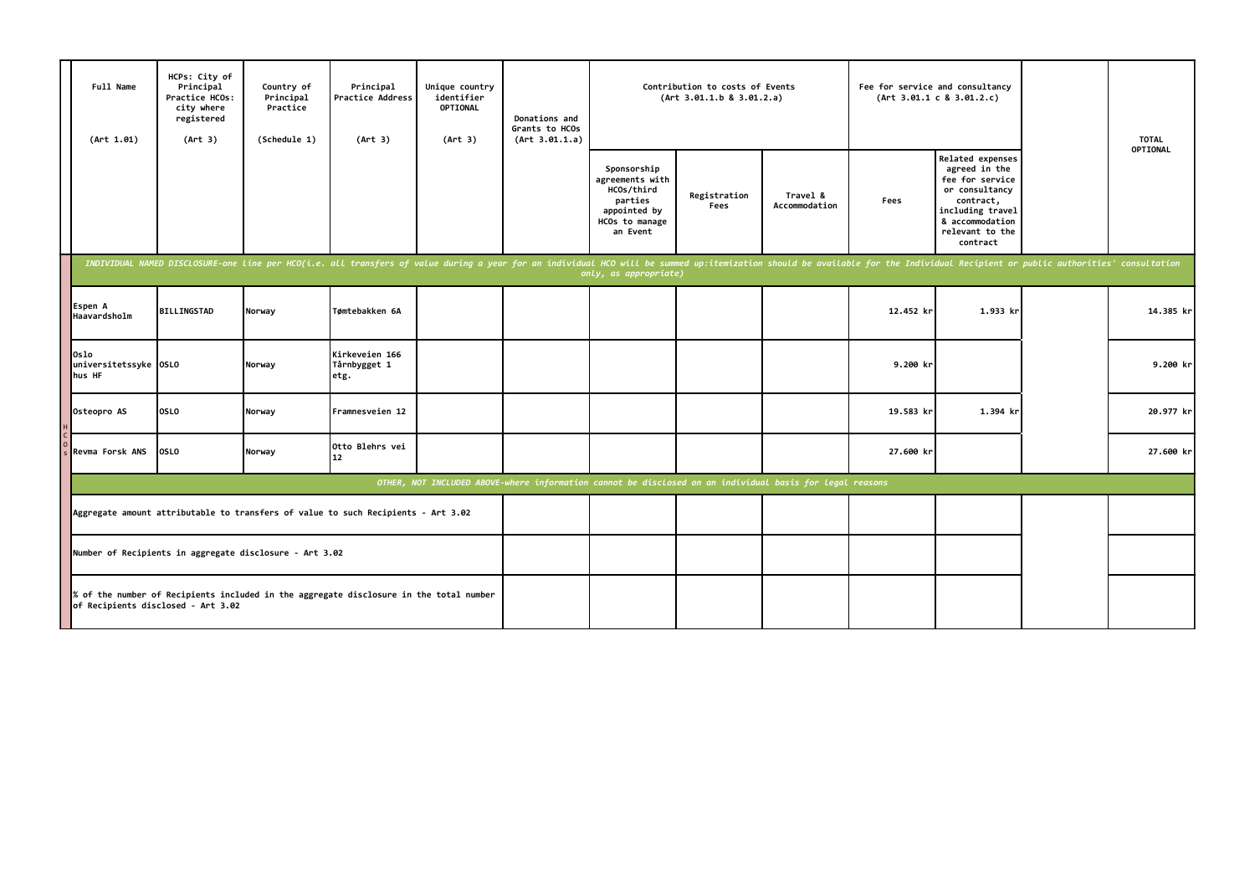|  | Full Name<br>(Art 1.01)                                                                                                                      | HCPs: City of<br>Principal<br>Practice HCOs:<br>city where<br>registered<br>(Art 3)                                          | Country of<br>Principal<br>Practice<br>(Schedule 1) | Principal<br>Practice Address<br>(Art 3)                                                                                                                                                                                       | Unique country<br>identifier<br><b>OPTIONAL</b><br>(Art 3) | Donations and<br>Grants to HCOs<br>(Art 3.01.1.a) | Contribution to costs of Events<br>(Art 3.01.1.b 8 3.01.2.a)                                          |                      |                           | Fee for service and consultancy<br>(Art 3.01.1 c 8 3.01.2.c) |                                                                                                                                                           |  | <b>TOTAL</b> |
|--|----------------------------------------------------------------------------------------------------------------------------------------------|------------------------------------------------------------------------------------------------------------------------------|-----------------------------------------------------|--------------------------------------------------------------------------------------------------------------------------------------------------------------------------------------------------------------------------------|------------------------------------------------------------|---------------------------------------------------|-------------------------------------------------------------------------------------------------------|----------------------|---------------------------|--------------------------------------------------------------|-----------------------------------------------------------------------------------------------------------------------------------------------------------|--|--------------|
|  |                                                                                                                                              |                                                                                                                              |                                                     |                                                                                                                                                                                                                                |                                                            |                                                   | Sponsorship<br>agreements with<br>HCOs/third<br>parties<br>appointed by<br>HCOs to manage<br>an Event | Registration<br>Fees | Travel &<br>Accommodation | Fees                                                         | Related expenses<br>agreed in the<br>fee for service<br>or consultancy<br>contract,<br>including travel<br>& accommodation<br>relevant to the<br>contract |  | OPTIONAL     |
|  |                                                                                                                                              |                                                                                                                              |                                                     | INDIVIDUAL NAMED DISCLOSURE-one line per HCO(i.e. all transfers of value during a year for an individual HCO will be summed up:itemization should be available for the Individual Recipient or public authorities' consultatio |                                                            |                                                   | only, as appropriate)                                                                                 |                      |                           |                                                              |                                                                                                                                                           |  |              |
|  | Espen A<br>Haavardsholm                                                                                                                      | <b>BILLINGSTAD</b>                                                                                                           | Norway                                              | Tømtebakken 6A                                                                                                                                                                                                                 |                                                            |                                                   |                                                                                                       |                      |                           | 12.452 kr                                                    | 1.933 kr                                                                                                                                                  |  | 14.385 kr    |
|  | Oslo<br>universitetssyke 0SL0<br>hus HF                                                                                                      |                                                                                                                              | Norway                                              | Kirkeveien 166<br>Tårnbygget 1<br>etg.                                                                                                                                                                                         |                                                            |                                                   |                                                                                                       |                      |                           | 9.200 kr                                                     |                                                                                                                                                           |  | $9.200$ kr   |
|  | Osteopro AS                                                                                                                                  | <b>OSLO</b>                                                                                                                  | Norway                                              | Framnesveien 12                                                                                                                                                                                                                |                                                            |                                                   |                                                                                                       |                      |                           | 19.583 kr                                                    | 1.394 kr                                                                                                                                                  |  | 20.977 kr    |
|  | Revma Forsk ANS                                                                                                                              | <b>OSLO</b>                                                                                                                  | Norway                                              | Otto Blehrs vei<br>$12 \overline{ }$                                                                                                                                                                                           |                                                            |                                                   |                                                                                                       |                      |                           | 27.600 kr                                                    |                                                                                                                                                           |  | 27.600 kr    |
|  | OTHER, NOT INCLUDED ABOVE-where information cannot be disclosed on an individual basis for legal reasons                                     |                                                                                                                              |                                                     |                                                                                                                                                                                                                                |                                                            |                                                   |                                                                                                       |                      |                           |                                                              |                                                                                                                                                           |  |              |
|  | Aggregate amount attributable to transfers of value to such Recipients - Art 3.02<br>Number of Recipients in aggregate disclosure - Art 3.02 |                                                                                                                              |                                                     |                                                                                                                                                                                                                                |                                                            |                                                   |                                                                                                       |                      |                           |                                                              |                                                                                                                                                           |  |              |
|  |                                                                                                                                              |                                                                                                                              |                                                     |                                                                                                                                                                                                                                |                                                            |                                                   |                                                                                                       |                      |                           |                                                              |                                                                                                                                                           |  |              |
|  |                                                                                                                                              | % of the number of Recipients included in the aggregate disclosure in the total number<br>of Recipients disclosed - Art 3.02 |                                                     |                                                                                                                                                                                                                                |                                                            |                                                   |                                                                                                       |                      |                           |                                                              |                                                                                                                                                           |  |              |